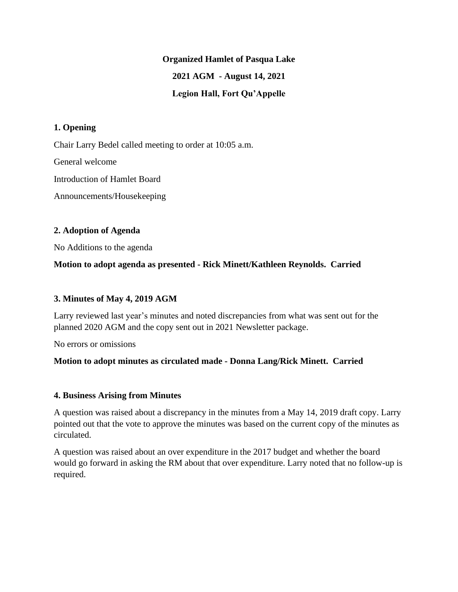## **Organized Hamlet of Pasqua Lake**

# **2021 AGM - August 14, 2021**

## **Legion Hall, Fort Qu'Appelle**

## **1. Opening**

Chair Larry Bedel called meeting to order at 10:05 a.m.

General welcome

Introduction of Hamlet Board

Announcements/Housekeeping

#### **2. Adoption of Agenda**

No Additions to the agenda

## **Motion to adopt agenda as presented - Rick Minett/Kathleen Reynolds. Carried**

## **3. Minutes of May 4, 2019 AGM**

Larry reviewed last year's minutes and noted discrepancies from what was sent out for the planned 2020 AGM and the copy sent out in 2021 Newsletter package.

No errors or omissions

## **Motion to adopt minutes as circulated made - Donna Lang/Rick Minett. Carried**

## **4. Business Arising from Minutes**

A question was raised about a discrepancy in the minutes from a May 14, 2019 draft copy. Larry pointed out that the vote to approve the minutes was based on the current copy of the minutes as circulated.

A question was raised about an over expenditure in the 2017 budget and whether the board would go forward in asking the RM about that over expenditure. Larry noted that no follow-up is required.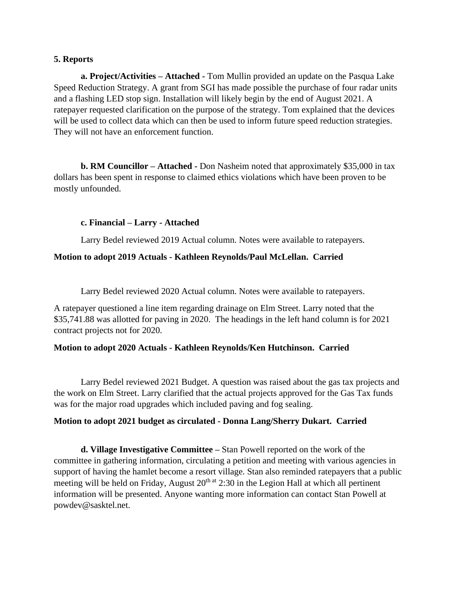#### **5. Reports**

**a. Project/Activities – Attached -** Tom Mullin provided an update on the Pasqua Lake Speed Reduction Strategy. A grant from SGI has made possible the purchase of four radar units and a flashing LED stop sign. Installation will likely begin by the end of August 2021. A ratepayer requested clarification on the purpose of the strategy. Tom explained that the devices will be used to collect data which can then be used to inform future speed reduction strategies. They will not have an enforcement function.

**b. RM Councillor – Attached -** Don Nasheim noted that approximately \$35,000 in tax dollars has been spent in response to claimed ethics violations which have been proven to be mostly unfounded.

#### **c. Financial – Larry - Attached**

Larry Bedel reviewed 2019 Actual column. Notes were available to ratepayers.

#### **Motion to adopt 2019 Actuals - Kathleen Reynolds/Paul McLellan. Carried**

Larry Bedel reviewed 2020 Actual column. Notes were available to ratepayers.

A ratepayer questioned a line item regarding drainage on Elm Street. Larry noted that the \$35,741.88 was allotted for paving in 2020. The headings in the left hand column is for 2021 contract projects not for 2020.

## **Motion to adopt 2020 Actuals - Kathleen Reynolds/Ken Hutchinson. Carried**

Larry Bedel reviewed 2021 Budget. A question was raised about the gas tax projects and the work on Elm Street. Larry clarified that the actual projects approved for the Gas Tax funds was for the major road upgrades which included paving and fog sealing.

#### **Motion to adopt 2021 budget as circulated - Donna Lang/Sherry Dukart. Carried**

**d. Village Investigative Committee –** Stan Powell reported on the work of the committee in gathering information, circulating a petition and meeting with various agencies in support of having the hamlet become a resort village. Stan also reminded ratepayers that a public meeting will be held on Friday, August  $20<sup>th at</sup> 2:30$  in the Legion Hall at which all pertinent information will be presented. Anyone wanting more information can contact Stan Powell at powdev@sasktel.net.